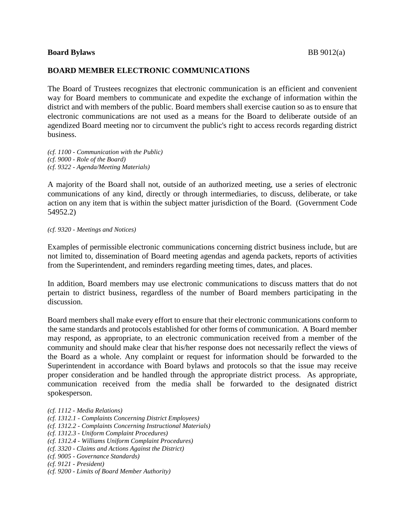## **Board Bylaws** BB 9012(a)

## **BOARD MEMBER ELECTRONIC COMMUNICATIONS**

The Board of Trustees recognizes that electronic communication is an efficient and convenient way for Board members to communicate and expedite the exchange of information within the district and with members of the public. Board members shall exercise caution so as to ensure that electronic communications are not used as a means for the Board to deliberate outside of an agendized Board meeting nor to circumvent the public's right to access records regarding district business.

*(cf. 1100 - Communication with the Public) (cf. 9000 - Role of the Board) (cf. 9322 - Agenda/Meeting Materials)*

A majority of the Board shall not, outside of an authorized meeting, use a series of electronic communications of any kind, directly or through intermediaries, to discuss, deliberate, or take action on any item that is within the subject matter jurisdiction of the Board. (Government Code 54952.2)

*(cf. 9320 - Meetings and Notices)*

Examples of permissible electronic communications concerning district business include, but are not limited to, dissemination of Board meeting agendas and agenda packets, reports of activities from the Superintendent, and reminders regarding meeting times, dates, and places.

In addition, Board members may use electronic communications to discuss matters that do not pertain to district business, regardless of the number of Board members participating in the discussion.

Board members shall make every effort to ensure that their electronic communications conform to the same standards and protocols established for other forms of communication. A Board member may respond, as appropriate, to an electronic communication received from a member of the community and should make clear that his/her response does not necessarily reflect the views of the Board as a whole. Any complaint or request for information should be forwarded to the Superintendent in accordance with Board bylaws and protocols so that the issue may receive proper consideration and be handled through the appropriate district process. As appropriate, communication received from the media shall be forwarded to the designated district spokesperson.

- *(cf. 1312.1 - Complaints Concerning District Employees)*
- *(cf. 1312.2 - Complaints Concerning Instructional Materials)*
- *(cf. 1312.3 - Uniform Complaint Procedures)*
- *(cf. 1312.4 - Williams Uniform Complaint Procedures)*
- *(cf. 3320 - Claims and Actions Against the District)*
- *(cf. 9005 - Governance Standards)*
- *(cf. 9121 - President)*
- *(cf. 9200 - Limits of Board Member Authority)*

*<sup>(</sup>cf. 1112 - Media Relations)*